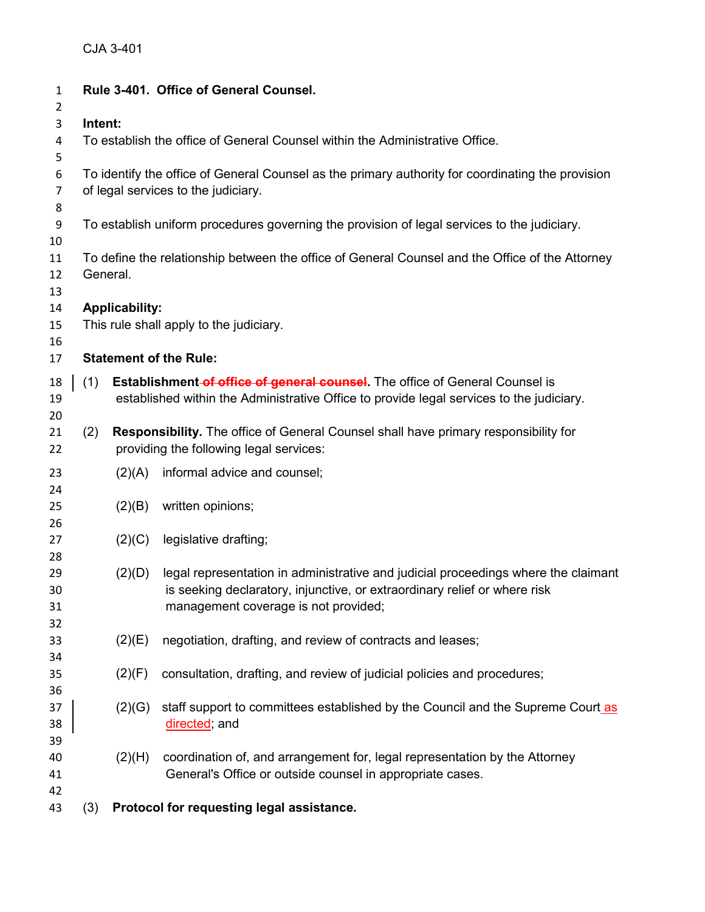| $\mathbf{1}$   |                                                                                                             |                       | Rule 3-401. Office of General Counsel.                                                   |  |  |  |  |  |  |
|----------------|-------------------------------------------------------------------------------------------------------------|-----------------------|------------------------------------------------------------------------------------------|--|--|--|--|--|--|
| 2              |                                                                                                             |                       |                                                                                          |  |  |  |  |  |  |
| 3              | Intent:                                                                                                     |                       |                                                                                          |  |  |  |  |  |  |
| 4<br>5         | To establish the office of General Counsel within the Administrative Office.                                |                       |                                                                                          |  |  |  |  |  |  |
| 6              | To identify the office of General Counsel as the primary authority for coordinating the provision           |                       |                                                                                          |  |  |  |  |  |  |
| 7              |                                                                                                             |                       | of legal services to the judiciary.                                                      |  |  |  |  |  |  |
| 8              |                                                                                                             |                       |                                                                                          |  |  |  |  |  |  |
| 9              | To establish uniform procedures governing the provision of legal services to the judiciary.                 |                       |                                                                                          |  |  |  |  |  |  |
| 10             |                                                                                                             |                       |                                                                                          |  |  |  |  |  |  |
| 11<br>12<br>13 | To define the relationship between the office of General Counsel and the Office of the Attorney<br>General. |                       |                                                                                          |  |  |  |  |  |  |
| 14             |                                                                                                             | <b>Applicability:</b> |                                                                                          |  |  |  |  |  |  |
| 15             |                                                                                                             |                       | This rule shall apply to the judiciary.                                                  |  |  |  |  |  |  |
| 16             |                                                                                                             |                       |                                                                                          |  |  |  |  |  |  |
| 17             |                                                                                                             |                       | <b>Statement of the Rule:</b>                                                            |  |  |  |  |  |  |
| 18             | (1)                                                                                                         |                       | <b>Establishment-of office of general counsel.</b> The office of General Counsel is      |  |  |  |  |  |  |
| 19             |                                                                                                             |                       | established within the Administrative Office to provide legal services to the judiciary. |  |  |  |  |  |  |
| 20             |                                                                                                             |                       |                                                                                          |  |  |  |  |  |  |
| 21             | (2)                                                                                                         |                       | Responsibility. The office of General Counsel shall have primary responsibility for      |  |  |  |  |  |  |
| 22             |                                                                                                             |                       | providing the following legal services:                                                  |  |  |  |  |  |  |
|                |                                                                                                             |                       |                                                                                          |  |  |  |  |  |  |
| 23             |                                                                                                             | (2)(A)                | informal advice and counsel;                                                             |  |  |  |  |  |  |
| 24             |                                                                                                             |                       |                                                                                          |  |  |  |  |  |  |
| 25             |                                                                                                             | (2)(B)                | written opinions;                                                                        |  |  |  |  |  |  |
| 26             |                                                                                                             |                       |                                                                                          |  |  |  |  |  |  |
| 27             |                                                                                                             | (2)(C)                | legislative drafting;                                                                    |  |  |  |  |  |  |
| 28<br>29       |                                                                                                             | (2)(D)                | legal representation in administrative and judicial proceedings where the claimant       |  |  |  |  |  |  |
| 30             |                                                                                                             |                       | is seeking declaratory, injunctive, or extraordinary relief or where risk                |  |  |  |  |  |  |
| 31             |                                                                                                             |                       | management coverage is not provided;                                                     |  |  |  |  |  |  |
| 32             |                                                                                                             |                       |                                                                                          |  |  |  |  |  |  |
| 33             |                                                                                                             | (2)(E)                | negotiation, drafting, and review of contracts and leases;                               |  |  |  |  |  |  |
| 34             |                                                                                                             |                       |                                                                                          |  |  |  |  |  |  |
| 35             |                                                                                                             | (2)(F)                | consultation, drafting, and review of judicial policies and procedures;                  |  |  |  |  |  |  |
| 36             |                                                                                                             |                       |                                                                                          |  |  |  |  |  |  |
| 37             |                                                                                                             | (2)(G)                | staff support to committees established by the Council and the Supreme Court as          |  |  |  |  |  |  |
| 38             |                                                                                                             |                       | directed; and                                                                            |  |  |  |  |  |  |
| 39             |                                                                                                             |                       |                                                                                          |  |  |  |  |  |  |
| 40             |                                                                                                             | (2)(H)                | coordination of, and arrangement for, legal representation by the Attorney               |  |  |  |  |  |  |
| 41             |                                                                                                             |                       | General's Office or outside counsel in appropriate cases.                                |  |  |  |  |  |  |
| 42             |                                                                                                             |                       |                                                                                          |  |  |  |  |  |  |
| 43             | (3)                                                                                                         |                       | Protocol for requesting legal assistance.                                                |  |  |  |  |  |  |
|                |                                                                                                             |                       |                                                                                          |  |  |  |  |  |  |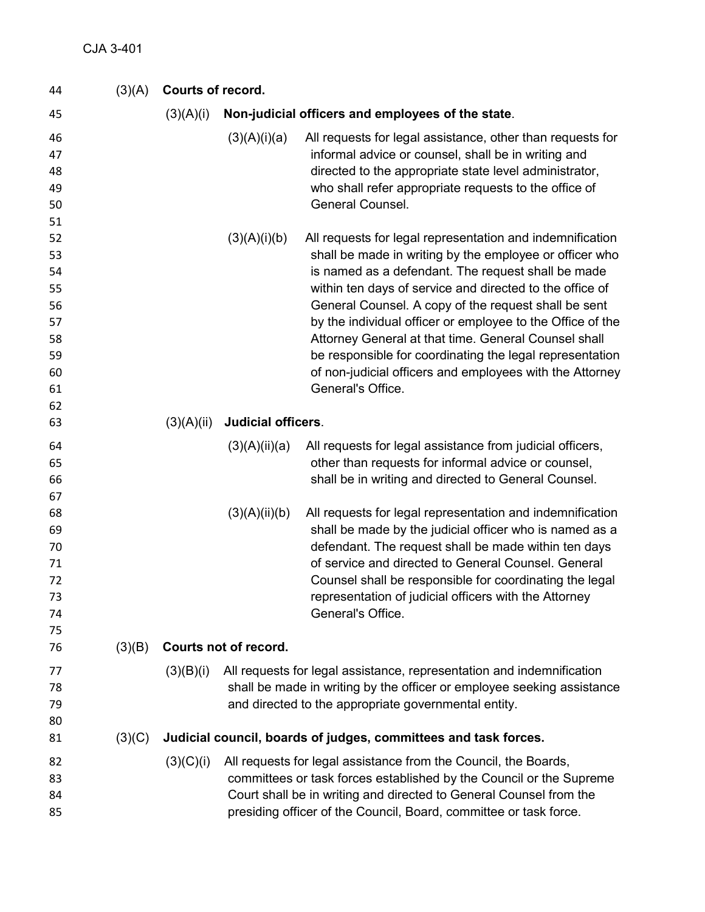| 44                                                                   | (3)(A) |            | Courts of record.                                               |                                                                                                                                                                                                                                                                                                                                                                                                                                                                                                                                                                   |  |  |
|----------------------------------------------------------------------|--------|------------|-----------------------------------------------------------------|-------------------------------------------------------------------------------------------------------------------------------------------------------------------------------------------------------------------------------------------------------------------------------------------------------------------------------------------------------------------------------------------------------------------------------------------------------------------------------------------------------------------------------------------------------------------|--|--|
| 45                                                                   |        | (3)(A)(i)  |                                                                 | Non-judicial officers and employees of the state.                                                                                                                                                                                                                                                                                                                                                                                                                                                                                                                 |  |  |
| 46<br>47<br>48<br>49<br>50                                           |        |            | (3)(A)(i)(a)                                                    | All requests for legal assistance, other than requests for<br>informal advice or counsel, shall be in writing and<br>directed to the appropriate state level administrator,<br>who shall refer appropriate requests to the office of<br>General Counsel.                                                                                                                                                                                                                                                                                                          |  |  |
| 51<br>52<br>53<br>54<br>55<br>56<br>57<br>58<br>59<br>60<br>61<br>62 |        |            | (3)(A)(i)(b)                                                    | All requests for legal representation and indemnification<br>shall be made in writing by the employee or officer who<br>is named as a defendant. The request shall be made<br>within ten days of service and directed to the office of<br>General Counsel. A copy of the request shall be sent<br>by the individual officer or employee to the Office of the<br>Attorney General at that time. General Counsel shall<br>be responsible for coordinating the legal representation<br>of non-judicial officers and employees with the Attorney<br>General's Office. |  |  |
| 63                                                                   |        | (3)(A)(ii) | <b>Judicial officers.</b>                                       |                                                                                                                                                                                                                                                                                                                                                                                                                                                                                                                                                                   |  |  |
| 64<br>65<br>66                                                       |        |            | (3)(A)(ii)(a)                                                   | All requests for legal assistance from judicial officers,<br>other than requests for informal advice or counsel,<br>shall be in writing and directed to General Counsel.                                                                                                                                                                                                                                                                                                                                                                                          |  |  |
| 67<br>68<br>69<br>70<br>71<br>72<br>73<br>74                         |        |            | (3)(A)(ii)(b)                                                   | All requests for legal representation and indemnification<br>shall be made by the judicial officer who is named as a<br>defendant. The request shall be made within ten days<br>of service and directed to General Counsel. General<br>Counsel shall be responsible for coordinating the legal<br>representation of judicial officers with the Attorney<br>General's Office.                                                                                                                                                                                      |  |  |
| 75<br>76                                                             | (3)(B) |            | Courts not of record.                                           |                                                                                                                                                                                                                                                                                                                                                                                                                                                                                                                                                                   |  |  |
| 77<br>78<br>79<br>80                                                 |        | (3)(B)(i)  |                                                                 | All requests for legal assistance, representation and indemnification<br>shall be made in writing by the officer or employee seeking assistance<br>and directed to the appropriate governmental entity.                                                                                                                                                                                                                                                                                                                                                           |  |  |
| 81                                                                   | (3)(C) |            | Judicial council, boards of judges, committees and task forces. |                                                                                                                                                                                                                                                                                                                                                                                                                                                                                                                                                                   |  |  |
| 82<br>83<br>84<br>85                                                 |        | (3)(C)(i)  |                                                                 | All requests for legal assistance from the Council, the Boards,<br>committees or task forces established by the Council or the Supreme<br>Court shall be in writing and directed to General Counsel from the<br>presiding officer of the Council, Board, committee or task force.                                                                                                                                                                                                                                                                                 |  |  |